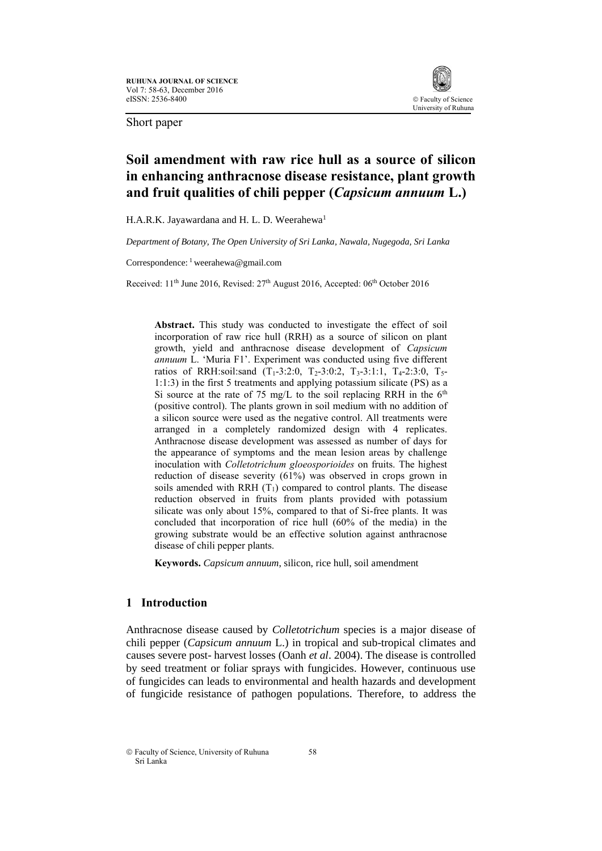

Short paper

# **Soil amendment with raw rice hull as a source of silicon in enhancing anthracnose disease resistance, plant growth and fruit qualities of chili pepper (***Capsicum annuum* **L.)**

H.A.R.K. Jayawardana and H. L. D. Weerahewa<sup>1</sup>

*Department of Botany, The Open University of Sri Lanka, Nawala, Nugegoda, Sri Lanka*

Correspondence: <sup>1</sup> weerahewa@gmail.com

Received: 11<sup>th</sup> June 2016, Revised: 27<sup>th</sup> August 2016, Accepted: 06<sup>th</sup> October 2016

**Abstract.** This study was conducted to investigate the effect of soil incorporation of raw rice hull (RRH) as a source of silicon on plant growth, yield and anthracnose disease development of *Capsicum annuum* L. 'Muria F1'. Experiment was conducted using five different ratios of RRH:soil:sand  $(T_1-3:2:0, T_2-3:0:2, T_3-3:1:1, T_4-2:3:0, T_5-$ 1:1:3) in the first 5 treatments and applying potassium silicate (PS) as a Si source at the rate of 75 mg/L to the soil replacing RRH in the  $6<sup>th</sup>$ (positive control). The plants grown in soil medium with no addition of a silicon source were used as the negative control. All treatments were arranged in a completely randomized design with 4 replicates. Anthracnose disease development was assessed as number of days for the appearance of symptoms and the mean lesion areas by challenge inoculation with *Colletotrichum gloeosporioides* on fruits. The highest reduction of disease severity (61%) was observed in crops grown in soils amended with RRH  $(T_1)$  compared to control plants. The disease reduction observed in fruits from plants provided with potassium silicate was only about 15%, compared to that of Si-free plants. It was concluded that incorporation of rice hull (60% of the media) in the growing substrate would be an effective solution against anthracnose disease of chili pepper plants.

**Keywords.** *Capsicum annuum*, silicon, rice hull, soil amendment

## **1 Introduction**

Anthracnose disease caused by *Colletotrichum* species is a major disease of chili pepper (*Capsicum annuum* L.) in tropical and sub-tropical climates and causes severe post- harvest losses (Oanh *et al*. 2004). The disease is controlled by seed treatment or foliar sprays with fungicides. However, continuous use of fungicides can leads to environmental and health hazards and development of fungicide resistance of pathogen populations. Therefore, to address the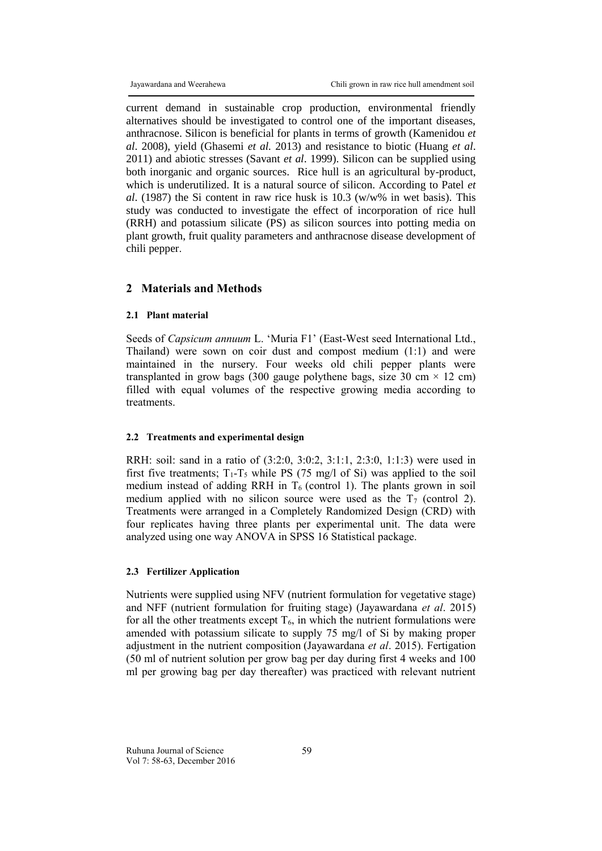current demand in sustainable crop production, environmental friendly alternatives should be investigated to control one of the important diseases, anthracnose. Silicon is beneficial for plants in terms of growth (Kamenidou *et al*. 2008), yield (Ghasemi *et al.* 2013) and resistance to biotic (Huang *et al*. 2011) and abiotic stresses (Savant *et al*. 1999). Silicon can be supplied using both inorganic and organic sources. Rice hull is an agricultural by-product, which is underutilized. It is a natural source of silicon. According to Patel *et al*. (1987) the Si content in raw rice husk is 10.3 (w/w% in wet basis). This study was conducted to investigate the effect of incorporation of rice hull (RRH) and potassium silicate (PS) as silicon sources into potting media on plant growth, fruit quality parameters and anthracnose disease development of chili pepper.

#### **2 Materials and Methods**

## **2.1 Plant material**

Seeds of *Capsicum annuum* L. 'Muria F1' (East-West seed International Ltd., Thailand) were sown on coir dust and compost medium (1:1) and were maintained in the nursery. Four weeks old chili pepper plants were transplanted in grow bags (300 gauge polythene bags, size 30 cm  $\times$  12 cm) filled with equal volumes of the respective growing media according to treatments.

#### **2.2 Treatments and experimental design**

RRH: soil: sand in a ratio of (3:2:0, 3:0:2, 3:1:1, 2:3:0, 1:1:3) were used in first five treatments;  $T_1 - T_5$  while PS (75 mg/l of Si) was applied to the soil medium instead of adding RRH in  $T_6$  (control 1). The plants grown in soil medium applied with no silicon source were used as the  $T_7$  (control 2). Treatments were arranged in a Completely Randomized Design (CRD) with four replicates having three plants per experimental unit. The data were analyzed using one way ANOVA in SPSS 16 Statistical package.

#### **2.3 Fertilizer Application**

Nutrients were supplied using NFV (nutrient formulation for vegetative stage) and NFF (nutrient formulation for fruiting stage) (Jayawardana *et al*. 2015) for all the other treatments except  $T_6$ , in which the nutrient formulations were amended with potassium silicate to supply 75 mg/l of Si by making proper adjustment in the nutrient composition (Jayawardana *et al*. 2015). Fertigation (50 ml of nutrient solution per grow bag per day during first 4 weeks and 100 ml per growing bag per day thereafter) was practiced with relevant nutrient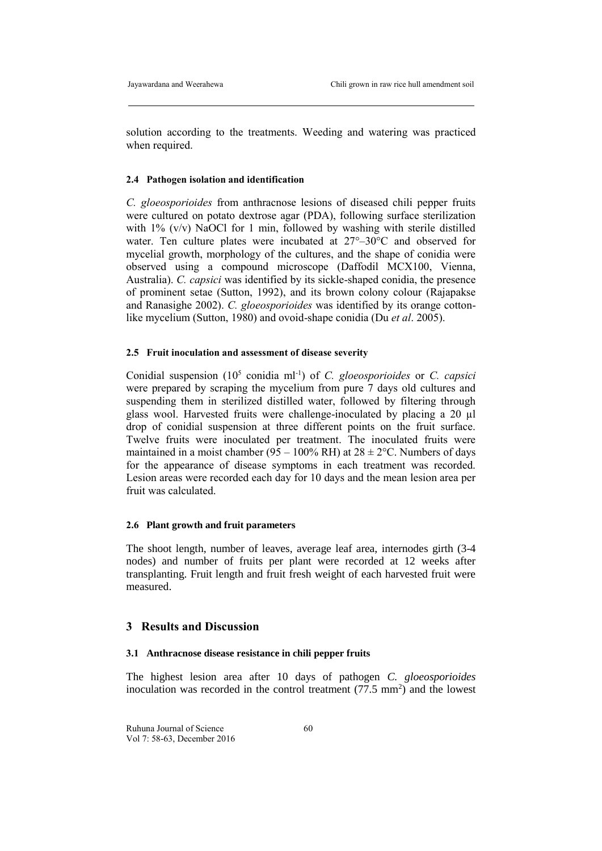solution according to the treatments. Weeding and watering was practiced when required.

#### **2.4 Pathogen isolation and identification**

*C. gloeosporioides* from anthracnose lesions of diseased chili pepper fruits were cultured on potato dextrose agar (PDA), following surface sterilization with 1% (v/v) NaOCl for 1 min, followed by washing with sterile distilled water. Ten culture plates were incubated at 27°–30°C and observed for mycelial growth, morphology of the cultures, and the shape of conidia were observed using a compound microscope (Daffodil MCX100, Vienna, Australia). *C. capsici* was identified by its sickle-shaped conidia, the presence of prominent setae (Sutton, 1992), and its brown colony colour (Rajapakse and Ranasighe 2002). *C. gloeosporioides* was identified by its orange cottonlike mycelium (Sutton, 1980) and ovoid-shape conidia (Du *et al*. 2005).

## **2.5 Fruit inoculation and assessment of disease severity**

Conidial suspension (10<sup>5</sup> conidia ml<sup>-1</sup>) of *C. gloeosporioides* or *C. capsici* were prepared by scraping the mycelium from pure 7 days old cultures and suspending them in sterilized distilled water, followed by filtering through glass wool. Harvested fruits were challenge-inoculated by placing a 20 µl drop of conidial suspension at three different points on the fruit surface. Twelve fruits were inoculated per treatment. The inoculated fruits were maintained in a moist chamber (95 – 100% RH) at  $28 \pm 2$ °C. Numbers of days for the appearance of disease symptoms in each treatment was recorded. Lesion areas were recorded each day for 10 days and the mean lesion area per fruit was calculated.

## **2.6 Plant growth and fruit parameters**

The shoot length, number of leaves, average leaf area, internodes girth (3-4 nodes) and number of fruits per plant were recorded at 12 weeks after transplanting. Fruit length and fruit fresh weight of each harvested fruit were measured.

## **3 Results and Discussion**

#### **3.1 Anthracnose disease resistance in chili pepper fruits**

The highest lesion area after 10 days of pathogen *C. gloeosporioides* inoculation was recorded in the control treatment  $(77.5 \text{ mm}^2)$  and the lowest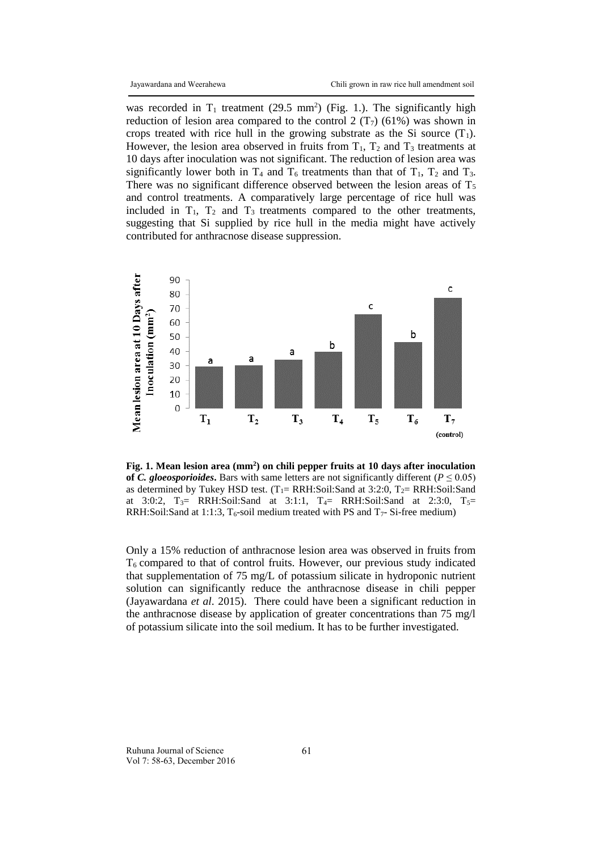was recorded in  $T_1$  treatment (29.5 mm<sup>2</sup>) (Fig. 1.). The significantly high reduction of lesion area compared to the control 2  $(T<sub>7</sub>)$  (61%) was shown in crops treated with rice hull in the growing substrate as the Si source  $(T_1)$ . However, the lesion area observed in fruits from  $T_1$ ,  $T_2$  and  $T_3$  treatments at 10 days after inoculation was not significant. The reduction of lesion area was significantly lower both in  $T_4$  and  $T_6$  treatments than that of  $T_1$ ,  $T_2$  and  $T_3$ . There was no significant difference observed between the lesion areas of  $T_5$ and control treatments. A comparatively large percentage of rice hull was included in  $T_1$ ,  $T_2$  and  $T_3$  treatments compared to the other treatments, suggesting that Si supplied by rice hull in the media might have actively contributed for anthracnose disease suppression.



**Fig. 1. Mean lesion area (mm<sup>2</sup> ) on chili pepper fruits at 10 days after inoculation of** *C. gloeosporioides*. Bars with same letters are not significantly different ( $P \le 0.05$ ) as determined by Tukey HSD test. (T<sub>1</sub>= RRH:Soil:Sand at 3:2:0, T<sub>2</sub>= RRH:Soil:Sand at 3:0:2,  $T_3$  RRH:Soil:Sand at 3:1:1,  $T_4$  RRH:Soil:Sand at 2:3:0,  $T_5$  = RRH:Soil:Sand at 1:1:3,  $T_6$ -soil medium treated with PS and  $T_7$ -Si-free medium)

Only a 15% reduction of anthracnose lesion area was observed in fruits from  $T_6$  compared to that of control fruits. However, our previous study indicated that supplementation of 75 mg/L of potassium silicate in hydroponic nutrient solution can significantly reduce the anthracnose disease in chili pepper (Jayawardana *et al*. 2015). There could have been a significant reduction in the anthracnose disease by application of greater concentrations than 75 mg/l of potassium silicate into the soil medium. It has to be further investigated.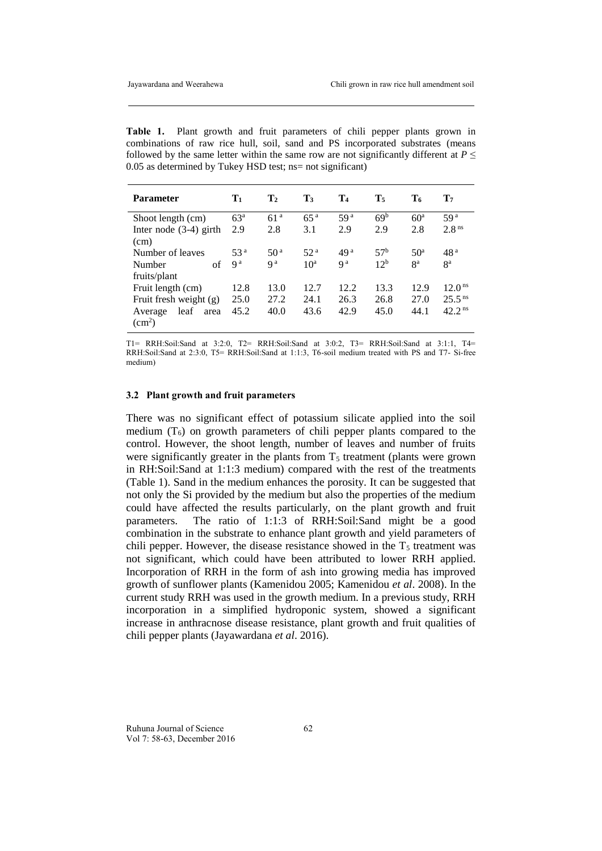**Table 1.** Plant growth and fruit parameters of chili pepper plants grown in combinations of raw rice hull, soil, sand and PS incorporated substrates (means followed by the same letter within the same row are not significantly different at  $P \leq$ 0.05 as determined by Tukey HSD test; ns= not significant)

| <b>Parameter</b>         | $\mathbf{T}_1$  | T <sub>2</sub>  | T3              | T <sub>4</sub>  | $T_5$           | Т6              | T7                 |
|--------------------------|-----------------|-----------------|-----------------|-----------------|-----------------|-----------------|--------------------|
| Shoot length (cm)        | 63 <sup>a</sup> | 61 <sup>a</sup> | 65 <sup>a</sup> | 59 <sup>a</sup> | 69 <sup>b</sup> | 60 <sup>a</sup> | 59 <sup>a</sup>    |
| Inter node $(3-4)$ girth | 2.9             | 2.8             | 3.1             | 2.9             | 2.9             | 2.8             | 2.8 <sup>ns</sup>  |
| (cm)                     |                 |                 |                 |                 |                 |                 |                    |
| Number of leaves         | 53 <sup>a</sup> | 50 <sup>a</sup> | 52 <sup>a</sup> | 49 <sup>a</sup> | 57 <sup>b</sup> | 50 <sup>a</sup> | 48 <sup>a</sup>    |
| of<br>Number             | q a             | q a             | 10 <sup>a</sup> | q a             | 12 <sup>b</sup> | 8 <sup>a</sup>  | ga                 |
| fruits/plant             |                 |                 |                 |                 |                 |                 |                    |
| Fruit length (cm)        | 12.8            | 13.0            | 12.7            | 12.2            | 13.3            | 12.9            | 12.0 <sup>ns</sup> |
| Fruit fresh weight (g)   | 25.0            | 27.2            | 24.1            | 26.3            | 26.8            | 27.0            | 25.5 <sup>ns</sup> |
| leaf<br>Average<br>area  | 45.2            | 40.0            | 43.6            | 42.9            | 45.0            | 44.1            | 42.2 <sup>ns</sup> |
| $\text{cm}^2$ )          |                 |                 |                 |                 |                 |                 |                    |

T1= RRH:Soil:Sand at 3:2:0, T2= RRH:Soil:Sand at 3:0:2, T3= RRH:Soil:Sand at 3:1:1, T4= RRH:Soil:Sand at 2:3:0, T5= RRH:Soil:Sand at 1:1:3, T6-soil medium treated with PS and T7- Si-free medium)

#### **3.2 Plant growth and fruit parameters**

There was no significant effect of potassium silicate applied into the soil medium  $(T_6)$  on growth parameters of chili pepper plants compared to the control. However, the shoot length, number of leaves and number of fruits were significantly greater in the plants from  $T<sub>5</sub>$  treatment (plants were grown in RH:Soil:Sand at 1:1:3 medium) compared with the rest of the treatments (Table 1). Sand in the medium enhances the porosity. It can be suggested that not only the Si provided by the medium but also the properties of the medium could have affected the results particularly, on the plant growth and fruit parameters. The ratio of 1:1:3 of RRH:Soil:Sand might be a good combination in the substrate to enhance plant growth and yield parameters of chili pepper. However, the disease resistance showed in the  $T<sub>5</sub>$  treatment was not significant, which could have been attributed to lower RRH applied. Incorporation of RRH in the form of ash into growing media has improved growth of sunflower plants (Kamenidou 2005; Kamenidou *et al*. 2008). In the current study RRH was used in the growth medium. In a previous study, RRH incorporation in a simplified hydroponic system, showed a significant increase in anthracnose disease resistance, plant growth and fruit qualities of chili pepper plants (Jayawardana *et al*. 2016).